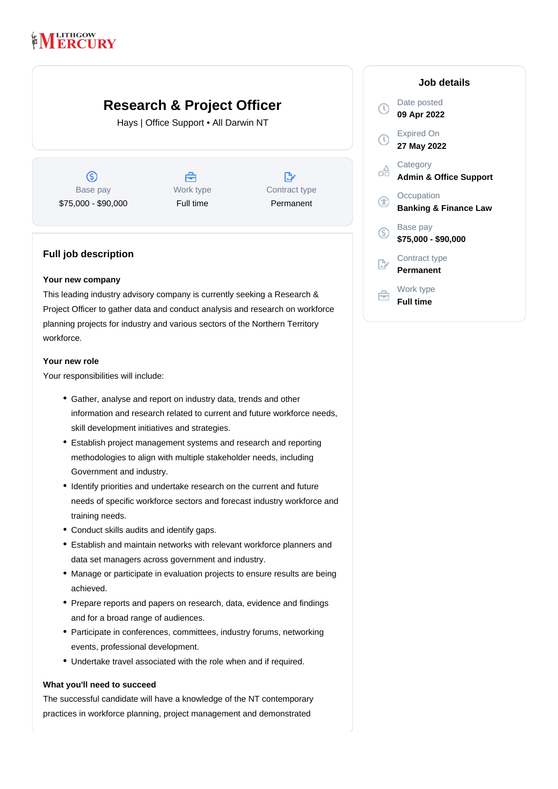# **LITHGOW RCURY**

# **Research & Project Officer**

Hays | Office Support • All Darwin NT

 $\circledS$ Base pay \$75,000 - \$90,000



 $\mathbb{R}^*$ Contract type Permanent

# **Full job description**

### **Your new company**

This leading industry advisory company is currently seeking a Research & Project Officer to gather data and conduct analysis and research on workforce planning projects for industry and various sectors of the Northern Territory workforce.

### **Your new role**

Your responsibilities will include:

- Gather, analyse and report on industry data, trends and other information and research related to current and future workforce needs, skill development initiatives and strategies.
- Establish project management systems and research and reporting methodologies to align with multiple stakeholder needs, including Government and industry.
- Identify priorities and undertake research on the current and future needs of specific workforce sectors and forecast industry workforce and training needs.
- Conduct skills audits and identify gaps.
- Establish and maintain networks with relevant workforce planners and data set managers across government and industry.
- Manage or participate in evaluation projects to ensure results are being achieved.
- Prepare reports and papers on research, data, evidence and findings and for a broad range of audiences.
- Participate in conferences, committees, industry forums, networking events, professional development.
- Undertake travel associated with the role when and if required.

## **What you'll need to succeed**

The successful candidate will have a knowledge of the NT contemporary practices in workforce planning, project management and demonstrated

|     | Job details                                    |
|-----|------------------------------------------------|
|     | Date posted<br>09 Apr 2022                     |
|     | <b>Expired On</b><br>27 May 2022               |
|     | Category<br><b>Admin &amp; Office Support</b>  |
|     | Occupation<br><b>Banking &amp; Finance Law</b> |
| (S) | Base pay<br>\$75,000 - \$90,000                |
|     | Contract type<br>Permanent                     |
|     | Work type<br><b>Full time</b>                  |